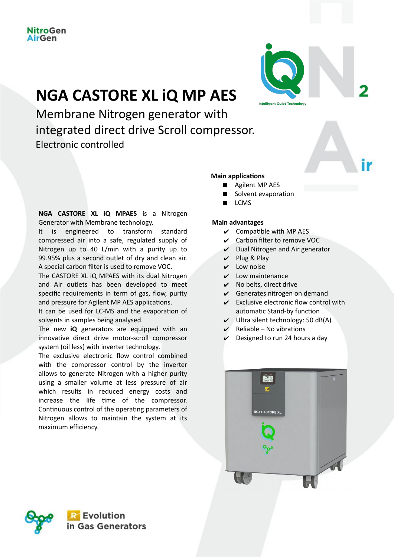# **NGA CASTORE XL iQ MP AES**

Membrane Nitrogen generator with integrated direct drive Scroll compressor. Electronic controlled

**NGA CASTORE XL iQ MPAES** is a Nitrogen Generator with Membrane technology.

It is engineered to transform standard compressed air into a safe, regulated supply of Nitrogen up to 40 L/min with a purity up to 99.95% plus a second outlet of dry and clean air. A special carbon filter is used to remove VOC.

The CASTORE XL iQ MPAES with its dual Nitrogen and Air outlets has been developed to meet specific requirements in term of gas, flow, purity and pressure for Agilent MP AES applications.

It can be used for LC-MS and the evaporation of solvents in samples being analysed.

The new **iQ** generators are equipped with an innovative direct drive motor-scroll compressor system (oil less) with inverter technology.

The exclusive electronic flow control combined with the compressor control by the inverter allows to generate Nitrogen with a higher purity using a smaller volume at less pressure of air which results in reduced energy costs and increase the life time of the compressor. Continuous control of the operating parameters of Nitrogen allows to maintain the system at its maximum efficiency.

## **Main applications**

- **Agilent MP AES**
- Solvent evaporation
- LCMS

#### **Main advantages**

- $\vee$  Compatible with MP AES
- $\vee$  Carbon filter to remove VOC
- $\nu$  Dual Nitrogen and Air generator

**Intelligent Quiet Techno** 

- $\nu$  Plug & Play
- $\mathbf v$  Low noise
- $\boldsymbol{\nu}$  Low maintenance
- $\checkmark$  No belts, direct drive
- $\checkmark$  Generates nitrogen on demand
- $\mathcal V$  Exclusive electronic flow control with automatic Stand-by function
- $\vee$  Ultra silent technology: 50 dB(A)
- $Reliable No$  vibrations
- Designed to run 24 hours a day